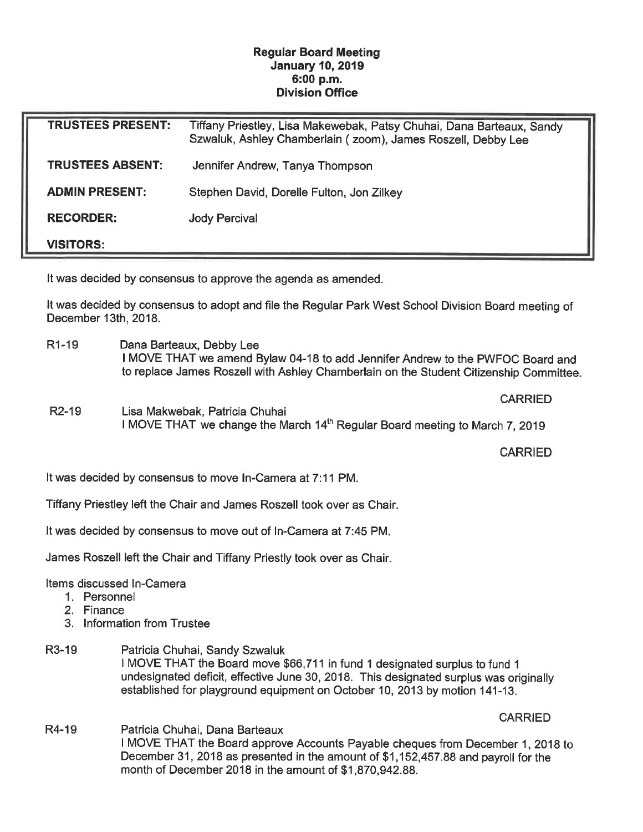## Regular Board Meeting January 10, 2019 6:00 p.m. Division Office

| <b>TRUSTEES PRESENT:</b> | Tiffany Priestley, Lisa Makewebak, Patsy Chuhai, Dana Barteaux, Sandy<br>Szwaluk, Ashley Chamberlain (zoom), James Roszell, Debby Lee |
|--------------------------|---------------------------------------------------------------------------------------------------------------------------------------|
| <b>TRUSTEES ABSENT:</b>  | Jennifer Andrew, Tanya Thompson                                                                                                       |
| <b>ADMIN PRESENT:</b>    | Stephen David, Dorelle Fulton, Jon Zilkey                                                                                             |
| <b>RECORDER:</b>         | <b>Jody Percival</b>                                                                                                                  |
| <b>VISITORS:</b>         |                                                                                                                                       |

It was decided by consensus to approve the agenda as amended.

It was decided by consensus to adopt and file the Regular Park West School Division Board meeting of December 13th. 2018.

- R1-19 Dana Barteaux, Debby Lee I MOVE THAT we amend Bylaw 04-18 to add Jennifer Andrew to the PWFOC Board and to replace James Roszell with Ashley Chamberlain on the Student Citizenship Committee.
- **CARRIED** R2-19 Lisa Makwebak, Patricia Chuhai I MOVE THAT we change the March 14<sup>th</sup> Regular Board meeting to March 7, 2019

**CARRIED** 

It was decided by consensus to move In-Camera at 7:11 PM.

Tiffany Priestley left the Chair and James Roszell took over as Chair.

It was decided by consensus to move out of In-Camera at 7:45 PM.

James Roszell left the Chair and Tiffany Priestly took over as Chair.

Items discussed In-Camera

- 1. Personnel
- 2. Finance
- 3. Information from Trustee
- R3-19 Patricia Chuhai, Sandy Szwaluk I MOVE THAT the Board move \$66,711 in fund 1 designated surplus to fund 1 undesignated deficit, effective June 30, 2018. This designated surplus was originally established for playground equipment on October 10, 2013 by motion 141-13.

**CARRIED** 

R4-19 Patricia Chuhai, Dana Barteaux I MOVE THAT the Board approve Accounts Payable cheques from December 1, 2018 to December 31, 2018 as presented in the amount of \$1, 152,457.88 and payroll for the month of December 2018 in the amount of \$1,870,942.88.